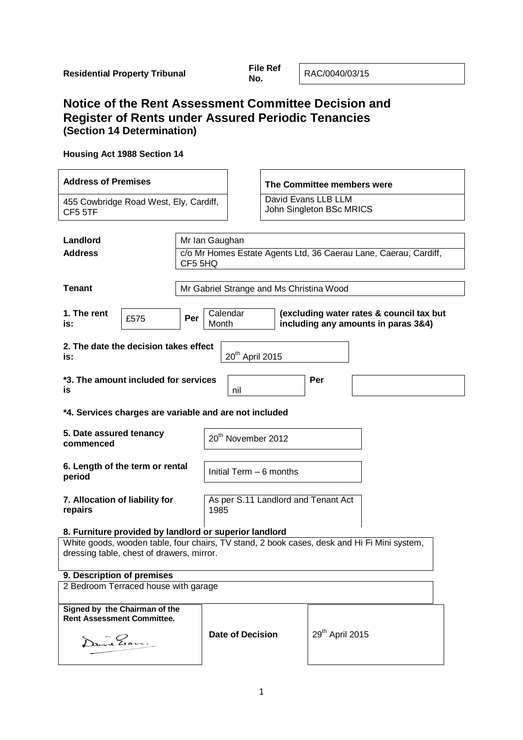**No.** RAC/0040/03/15

# **Notice of the Rent Assessment Committee Decision and Register of Rents under Assured Periodic Tenancies (Section 14 Determination)**

# **Housing Act 1988 Section 14**

| <b>Address of Premises</b>                                                                                                               |                                                                                                             |                                             |                                                 | The Committee members were  |  |  |
|------------------------------------------------------------------------------------------------------------------------------------------|-------------------------------------------------------------------------------------------------------------|---------------------------------------------|-------------------------------------------------|-----------------------------|--|--|
| 455 Cowbridge Road West, Ely, Cardiff,<br>CF5 5TF                                                                                        |                                                                                                             |                                             | David Evans LLB LLM<br>John Singleton BSc MRICS |                             |  |  |
| Landlord                                                                                                                                 |                                                                                                             |                                             |                                                 |                             |  |  |
| <b>Address</b>                                                                                                                           | Mr Ian Gaughan<br>c/o Mr Homes Estate Agents Ltd, 36 Caerau Lane, Caerau, Cardiff,<br>CF5 5HQ               |                                             |                                                 |                             |  |  |
| <b>Tenant</b>                                                                                                                            |                                                                                                             | Mr Gabriel Strange and Ms Christina Wood    |                                                 |                             |  |  |
| 1. The rent<br>£575<br>is:                                                                                                               | Calendar<br>(excluding water rates & council tax but<br>Per<br>including any amounts in paras 3&4)<br>Month |                                             |                                                 |                             |  |  |
| 2. The date the decision takes effect<br>20 <sup>th</sup> April 2015<br>is:                                                              |                                                                                                             |                                             |                                                 |                             |  |  |
| *3. The amount included for services<br><b>is</b>                                                                                        |                                                                                                             | nil                                         |                                                 | Per                         |  |  |
| *4. Services charges are variable and are not included                                                                                   |                                                                                                             |                                             |                                                 |                             |  |  |
| 5. Date assured tenancy<br>commenced                                                                                                     |                                                                                                             | 20 <sup>th</sup> November 2012              |                                                 |                             |  |  |
| 6. Length of the term or rental<br>period                                                                                                |                                                                                                             | Initial Term - 6 months                     |                                                 |                             |  |  |
| 7. Allocation of liability for<br>repairs                                                                                                |                                                                                                             | As per S.11 Landlord and Tenant Act<br>1985 |                                                 |                             |  |  |
| 8. Furniture provided by landlord or superior landlord                                                                                   |                                                                                                             |                                             |                                                 |                             |  |  |
| White goods, wooden table, four chairs, TV stand, 2 book cases, desk and Hi Fi Mini system,<br>dressing table, chest of drawers, mirror. |                                                                                                             |                                             |                                                 |                             |  |  |
| 9. Description of premises                                                                                                               |                                                                                                             |                                             |                                                 |                             |  |  |
| 2 Bedroom Terraced house with garage                                                                                                     |                                                                                                             |                                             |                                                 |                             |  |  |
| Signed by the Chairman of the<br><b>Rent Assessment Committee.</b>                                                                       |                                                                                                             |                                             |                                                 |                             |  |  |
| ant Zan:                                                                                                                                 |                                                                                                             | <b>Date of Decision</b>                     |                                                 | 29 <sup>th</sup> April 2015 |  |  |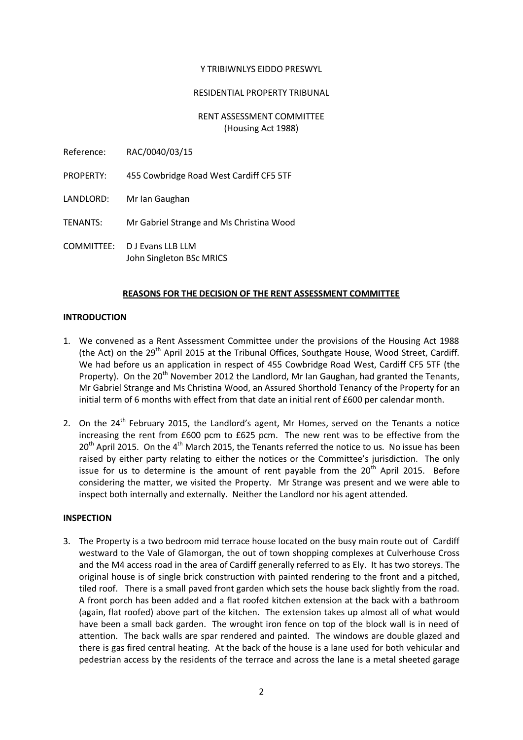#### Y TRIBIWNLYS EIDDO PRESWYL

# RESIDENTIAL PROPERTY TRIBUNAL

#### RENT ASSESSMENT COMMITTEE (Housing Act 1988)

- Reference: RAC/0040/03/15
- PROPERTY: 455 Cowbridge Road West Cardiff CF5 5TF
- LANDLORD: Mr Ian Gaughan
- TENANTS: Mr Gabriel Strange and Ms Christina Wood
- COMMITTEE: D J Evans LLB LLM John Singleton BSc MRICS

# **REASONS FOR THE DECISION OF THE RENT ASSESSMENT COMMITTEE**

### **INTRODUCTION**

- 1. We convened as a Rent Assessment Committee under the provisions of the Housing Act 1988 (the Act) on the 29<sup>th</sup> April 2015 at the Tribunal Offices, Southgate House, Wood Street, Cardiff. We had before us an application in respect of 455 Cowbridge Road West, Cardiff CF5 5TF (the Property). On the 20<sup>th</sup> November 2012 the Landlord, Mr Ian Gaughan, had granted the Tenants, Mr Gabriel Strange and Ms Christina Wood, an Assured Shorthold Tenancy of the Property for an initial term of 6 months with effect from that date an initial rent of £600 per calendar month.
- 2. On the  $24<sup>th</sup>$  February 2015, the Landlord's agent, Mr Homes, served on the Tenants a notice increasing the rent from £600 pcm to £625 pcm. The new rent was to be effective from the 20<sup>th</sup> April 2015. On the 4<sup>th</sup> March 2015, the Tenants referred the notice to us. No issue has been raised by either party relating to either the notices or the Committee's jurisdiction. The only issue for us to determine is the amount of rent payable from the  $20<sup>th</sup>$  April 2015. Before considering the matter, we visited the Property. Mr Strange was present and we were able to inspect both internally and externally. Neither the Landlord nor his agent attended.

### **INSPECTION**

3. The Property is a two bedroom mid terrace house located on the busy main route out of Cardiff westward to the Vale of Glamorgan, the out of town shopping complexes at Culverhouse Cross and the M4 access road in the area of Cardiff generally referred to as Ely. It has two storeys. The original house is of single brick construction with painted rendering to the front and a pitched, tiled roof. There is a small paved front garden which sets the house back slightly from the road. A front porch has been added and a flat roofed kitchen extension at the back with a bathroom (again, flat roofed) above part of the kitchen. The extension takes up almost all of what would have been a small back garden. The wrought iron fence on top of the block wall is in need of attention. The back walls are spar rendered and painted. The windows are double glazed and there is gas fired central heating. At the back of the house is a lane used for both vehicular and pedestrian access by the residents of the terrace and across the lane is a metal sheeted garage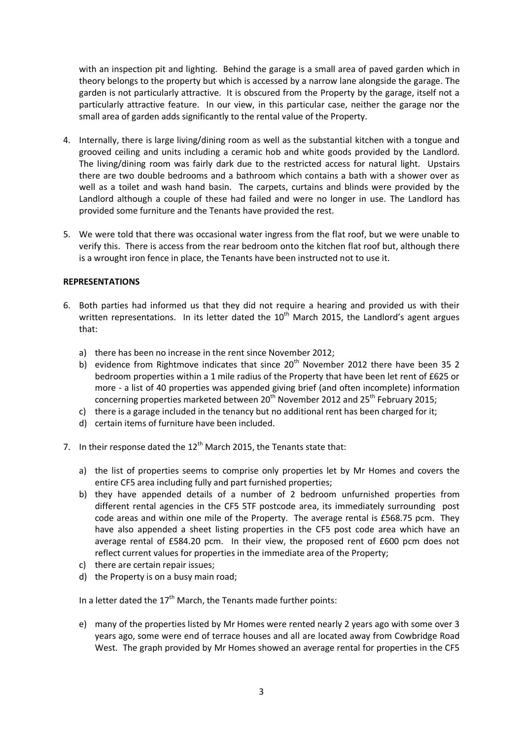with an inspection pit and lighting. Behind the garage is a small area of paved garden which in theory belongs to the property but which is accessed by a narrow lane alongside the garage. The garden is not particularly attractive. It is obscured from the Property by the garage, itself not a particularly attractive feature. In our view, in this particular case, neither the garage nor the small area of garden adds significantly to the rental value of the Property.

- 4. Internally, there is large living/dining room as well as the substantial kitchen with a tongue and grooved ceiling and units including a ceramic hob and white goods provided by the Landlord. The living/dining room was fairly dark due to the restricted access for natural light. Upstairs there are two double bedrooms and a bathroom which contains a bath with a shower over as well as a toilet and wash hand basin. The carpets, curtains and blinds were provided by the Landlord although a couple of these had failed and were no longer in use. The Landlord has provided some furniture and the Tenants have provided the rest.
- 5. We were told that there was occasional water ingress from the flat roof, but we were unable to verify this. There is access from the rear bedroom onto the kitchen flat roof but, although there is a wrought iron fence in place, the Tenants have been instructed not to use it.

### **REPRESENTATIONS**

- 6. Both parties had informed us that they did not require a hearing and provided us with their written representations. In its letter dated the  $10<sup>th</sup>$  March 2015, the Landlord's agent argues that:
	- a) there has been no increase in the rent since November 2012;
	- b) evidence from Rightmove indicates that since  $20<sup>th</sup>$  November 2012 there have been 35 2 bedroom properties within a 1 mile radius of the Property that have been let rent of £625 or more - a list of 40 properties was appended giving brief (and often incomplete) information concerning properties marketed between  $20<sup>th</sup>$  November 2012 and  $25<sup>th</sup>$  February 2015;
	- c) there is a garage included in the tenancy but no additional rent has been charged for it;
	- d) certain items of furniture have been included.
- 7. In their response dated the  $12<sup>th</sup>$  March 2015, the Tenants state that:
	- a) the list of properties seems to comprise only properties let by Mr Homes and covers the entire CF5 area including fully and part furnished properties;
	- b) they have appended details of a number of 2 bedroom unfurnished properties from different rental agencies in the CF5 5TF postcode area, its immediately surrounding post code areas and within one mile of the Property. The average rental is £568.75 pcm. They have also appended a sheet listing properties in the CF5 post code area which have an average rental of £584.20 pcm. In their view, the proposed rent of £600 pcm does not reflect current values for properties in the immediate area of the Property;
	- c) there are certain repair issues;
	- d) the Property is on a busy main road;

In a letter dated the  $17<sup>th</sup>$  March, the Tenants made further points:

e) many of the properties listed by Mr Homes were rented nearly 2 years ago with some over 3 years ago, some were end of terrace houses and all are located away from Cowbridge Road West. The graph provided by Mr Homes showed an average rental for properties in the CF5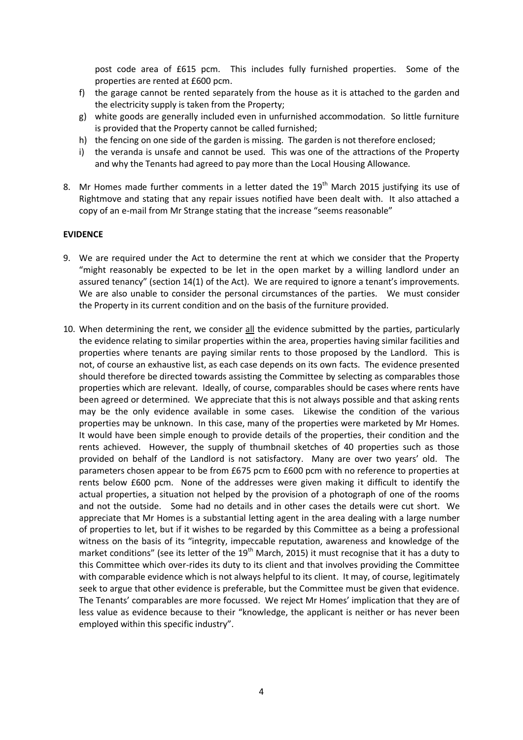post code area of £615 pcm. This includes fully furnished properties. Some of the properties are rented at £600 pcm.

- f) the garage cannot be rented separately from the house as it is attached to the garden and the electricity supply is taken from the Property;
- g) white goods are generally included even in unfurnished accommodation. So little furniture is provided that the Property cannot be called furnished;
- h) the fencing on one side of the garden is missing. The garden is not therefore enclosed;
- i) the veranda is unsafe and cannot be used. This was one of the attractions of the Property and why the Tenants had agreed to pay more than the Local Housing Allowance.
- 8. Mr Homes made further comments in a letter dated the  $19<sup>th</sup>$  March 2015 justifying its use of Rightmove and stating that any repair issues notified have been dealt with. It also attached a copy of an e-mail from Mr Strange stating that the increase "seems reasonable"

#### **EVIDENCE**

- 9. We are required under the Act to determine the rent at which we consider that the Property "might reasonably be expected to be let in the open market by a willing landlord under an assured tenancy" (section 14(1) of the Act). We are required to ignore a tenant's improvements. We are also unable to consider the personal circumstances of the parties. We must consider the Property in its current condition and on the basis of the furniture provided.
- 10. When determining the rent, we consider all the evidence submitted by the parties, particularly the evidence relating to similar properties within the area, properties having similar facilities and properties where tenants are paying similar rents to those proposed by the Landlord. This is not, of course an exhaustive list, as each case depends on its own facts. The evidence presented should therefore be directed towards assisting the Committee by selecting as comparables those properties which are relevant. Ideally, of course, comparables should be cases where rents have been agreed or determined. We appreciate that this is not always possible and that asking rents may be the only evidence available in some cases. Likewise the condition of the various properties may be unknown. In this case, many of the properties were marketed by Mr Homes. It would have been simple enough to provide details of the properties, their condition and the rents achieved. However, the supply of thumbnail sketches of 40 properties such as those provided on behalf of the Landlord is not satisfactory. Many are over two years' old. The parameters chosen appear to be from £675 pcm to £600 pcm with no reference to properties at rents below £600 pcm. None of the addresses were given making it difficult to identify the actual properties, a situation not helped by the provision of a photograph of one of the rooms and not the outside. Some had no details and in other cases the details were cut short. We appreciate that Mr Homes is a substantial letting agent in the area dealing with a large number of properties to let, but if it wishes to be regarded by this Committee as a being a professional witness on the basis of its "integrity, impeccable reputation, awareness and knowledge of the market conditions" (see its letter of the  $19<sup>th</sup>$  March, 2015) it must recognise that it has a duty to this Committee which over-rides its duty to its client and that involves providing the Committee with comparable evidence which is not always helpful to its client. It may, of course, legitimately seek to argue that other evidence is preferable, but the Committee must be given that evidence. The Tenants' comparables are more focussed. We reject Mr Homes' implication that they are of less value as evidence because to their "knowledge, the applicant is neither or has never been employed within this specific industry".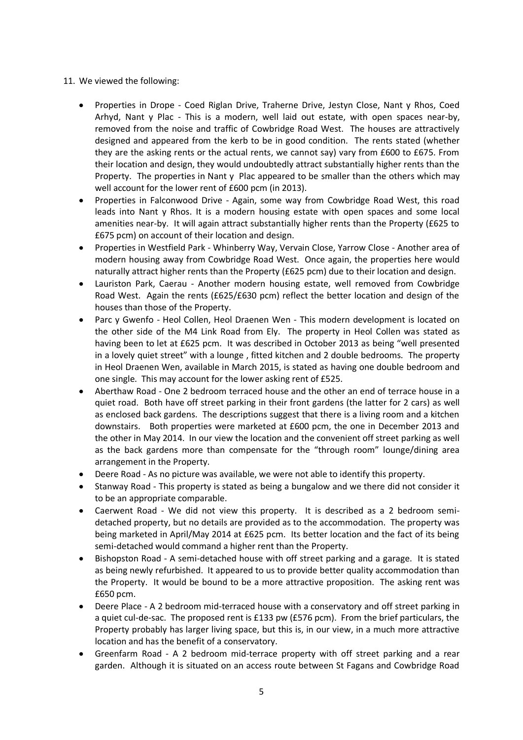# 11. We viewed the following:

- Properties in Drope Coed Riglan Drive, Traherne Drive, Jestyn Close, Nant y Rhos, Coed Arhyd, Nant y Plac - This is a modern, well laid out estate, with open spaces near-by, removed from the noise and traffic of Cowbridge Road West. The houses are attractively designed and appeared from the kerb to be in good condition. The rents stated (whether they are the asking rents or the actual rents, we cannot say) vary from £600 to £675. From their location and design, they would undoubtedly attract substantially higher rents than the Property. The properties in Nant y Plac appeared to be smaller than the others which may well account for the lower rent of £600 pcm (in 2013).
- $\bullet$ Properties in Falconwood Drive - Again, some way from Cowbridge Road West, this road leads into Nant y Rhos. It is a modern housing estate with open spaces and some local amenities near-by. It will again attract substantially higher rents than the Property (£625 to £675 pcm) on account of their location and design.
- Properties in Westfield Park Whinberry Way, Vervain Close, Yarrow Close Another area of modern housing away from Cowbridge Road West. Once again, the properties here would naturally attract higher rents than the Property (£625 pcm) due to their location and design.
- Lauriston Park, Caerau Another modern housing estate, well removed from Cowbridge Road West. Again the rents (£625/£630 pcm) reflect the better location and design of the houses than those of the Property.
- Parc y Gwenfo Heol Collen, Heol Draenen Wen This modern development is located on  $\bullet$ the other side of the M4 Link Road from Ely. The property in Heol Collen was stated as having been to let at £625 pcm. It was described in October 2013 as being "well presented in a lovely quiet street" with a lounge , fitted kitchen and 2 double bedrooms. The property in Heol Draenen Wen, available in March 2015, is stated as having one double bedroom and one single. This may account for the lower asking rent of £525.
- Aberthaw Road One 2 bedroom terraced house and the other an end of terrace house in a  $\bullet$ quiet road. Both have off street parking in their front gardens (the latter for 2 cars) as well as enclosed back gardens. The descriptions suggest that there is a living room and a kitchen downstairs. Both properties were marketed at £600 pcm, the one in December 2013 and the other in May 2014. In our view the location and the convenient off street parking as well as the back gardens more than compensate for the "through room" lounge/dining area arrangement in the Property.
- Deere Road As no picture was available, we were not able to identify this property.
- Stanway Road This property is stated as being a bungalow and we there did not consider it to be an appropriate comparable.
- Caerwent Road We did not view this property. It is described as a 2 bedroom semidetached property, but no details are provided as to the accommodation. The property was being marketed in April/May 2014 at £625 pcm. Its better location and the fact of its being semi-detached would command a higher rent than the Property.
- Bishopston Road A semi-detached house with off street parking and a garage. It is stated  $\bullet$ as being newly refurbished. It appeared to us to provide better quality accommodation than the Property. It would be bound to be a more attractive proposition. The asking rent was £650 pcm.
- $\bullet$ Deere Place - A 2 bedroom mid-terraced house with a conservatory and off street parking in a quiet cul-de-sac. The proposed rent is £133 pw (£576 pcm). From the brief particulars, the Property probably has larger living space, but this is, in our view, in a much more attractive location and has the benefit of a conservatory.
- $\bullet$ Greenfarm Road - A 2 bedroom mid-terrace property with off street parking and a rear garden. Although it is situated on an access route between St Fagans and Cowbridge Road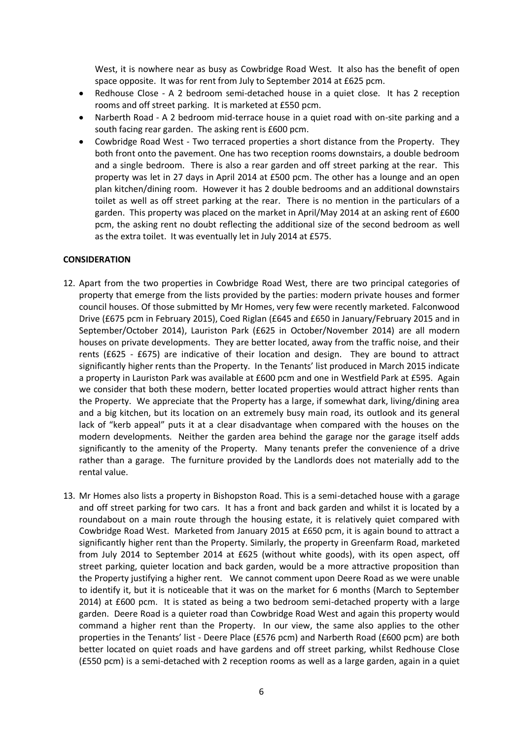West, it is nowhere near as busy as Cowbridge Road West. It also has the benefit of open space opposite. It was for rent from July to September 2014 at £625 pcm.

- $\bullet$ Redhouse Close - A 2 bedroom semi-detached house in a quiet close. It has 2 reception rooms and off street parking. It is marketed at £550 pcm.
- Narberth Road A 2 bedroom mid-terrace house in a quiet road with on-site parking and a south facing rear garden. The asking rent is £600 pcm.
- Cowbridge Road West Two terraced properties a short distance from the Property. They  $\bullet$ both front onto the pavement. One has two reception rooms downstairs, a double bedroom and a single bedroom. There is also a rear garden and off street parking at the rear. This property was let in 27 days in April 2014 at £500 pcm. The other has a lounge and an open plan kitchen/dining room. However it has 2 double bedrooms and an additional downstairs toilet as well as off street parking at the rear. There is no mention in the particulars of a garden. This property was placed on the market in April/May 2014 at an asking rent of £600 pcm, the asking rent no doubt reflecting the additional size of the second bedroom as well as the extra toilet. It was eventually let in July 2014 at £575.

### **CONSIDERATION**

- 12. Apart from the two properties in Cowbridge Road West, there are two principal categories of property that emerge from the lists provided by the parties: modern private houses and former council houses. Of those submitted by Mr Homes, very few were recently marketed. Falconwood Drive (£675 pcm in February 2015), Coed Riglan (£645 and £650 in January/February 2015 and in September/October 2014), Lauriston Park (£625 in October/November 2014) are all modern houses on private developments. They are better located, away from the traffic noise, and their rents (£625 - £675) are indicative of their location and design. They are bound to attract significantly higher rents than the Property. In the Tenants' list produced in March 2015 indicate a property in Lauriston Park was available at £600 pcm and one in Westfield Park at £595. Again we consider that both these modern, better located properties would attract higher rents than the Property. We appreciate that the Property has a large, if somewhat dark, living/dining area and a big kitchen, but its location on an extremely busy main road, its outlook and its general lack of "kerb appeal" puts it at a clear disadvantage when compared with the houses on the modern developments. Neither the garden area behind the garage nor the garage itself adds significantly to the amenity of the Property. Many tenants prefer the convenience of a drive rather than a garage. The furniture provided by the Landlords does not materially add to the rental value.
- 13. Mr Homes also lists a property in Bishopston Road. This is a semi-detached house with a garage and off street parking for two cars. It has a front and back garden and whilst it is located by a roundabout on a main route through the housing estate, it is relatively quiet compared with Cowbridge Road West. Marketed from January 2015 at £650 pcm, it is again bound to attract a significantly higher rent than the Property. Similarly, the property in Greenfarm Road, marketed from July 2014 to September 2014 at £625 (without white goods), with its open aspect, off street parking, quieter location and back garden, would be a more attractive proposition than the Property justifying a higher rent. We cannot comment upon Deere Road as we were unable to identify it, but it is noticeable that it was on the market for 6 months (March to September 2014) at £600 pcm. It is stated as being a two bedroom semi-detached property with a large garden. Deere Road is a quieter road than Cowbridge Road West and again this property would command a higher rent than the Property. In our view, the same also applies to the other properties in the Tenants' list - Deere Place (£576 pcm) and Narberth Road (£600 pcm) are both better located on quiet roads and have gardens and off street parking, whilst Redhouse Close (£550 pcm) is a semi-detached with 2 reception rooms as well as a large garden, again in a quiet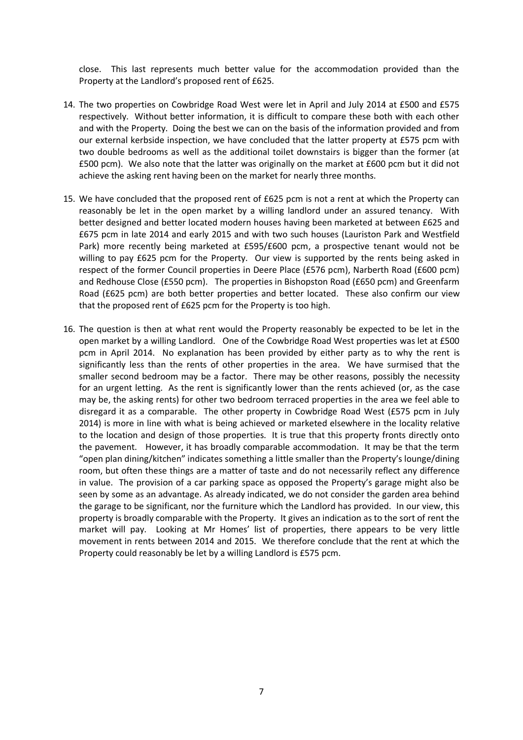close. This last represents much better value for the accommodation provided than the Property at the Landlord's proposed rent of £625.

- 14. The two properties on Cowbridge Road West were let in April and July 2014 at £500 and £575 respectively. Without better information, it is difficult to compare these both with each other and with the Property. Doing the best we can on the basis of the information provided and from our external kerbside inspection, we have concluded that the latter property at £575 pcm with two double bedrooms as well as the additional toilet downstairs is bigger than the former (at £500 pcm). We also note that the latter was originally on the market at £600 pcm but it did not achieve the asking rent having been on the market for nearly three months.
- 15. We have concluded that the proposed rent of £625 pcm is not a rent at which the Property can reasonably be let in the open market by a willing landlord under an assured tenancy. With better designed and better located modern houses having been marketed at between £625 and £675 pcm in late 2014 and early 2015 and with two such houses (Lauriston Park and Westfield Park) more recently being marketed at £595/£600 pcm, a prospective tenant would not be willing to pay £625 pcm for the Property. Our view is supported by the rents being asked in respect of the former Council properties in Deere Place (£576 pcm), Narberth Road (£600 pcm) and Redhouse Close (£550 pcm). The properties in Bishopston Road (£650 pcm) and Greenfarm Road (£625 pcm) are both better properties and better located. These also confirm our view that the proposed rent of £625 pcm for the Property is too high.
- 16. The question is then at what rent would the Property reasonably be expected to be let in the open market by a willing Landlord. One of the Cowbridge Road West properties was let at £500 pcm in April 2014. No explanation has been provided by either party as to why the rent is significantly less than the rents of other properties in the area. We have surmised that the smaller second bedroom may be a factor. There may be other reasons, possibly the necessity for an urgent letting. As the rent is significantly lower than the rents achieved (or, as the case may be, the asking rents) for other two bedroom terraced properties in the area we feel able to disregard it as a comparable. The other property in Cowbridge Road West (£575 pcm in July 2014) is more in line with what is being achieved or marketed elsewhere in the locality relative to the location and design of those properties. It is true that this property fronts directly onto the pavement. However, it has broadly comparable accommodation. It may be that the term "open plan dining/kitchen" indicates something a little smaller than the Property's lounge/dining room, but often these things are a matter of taste and do not necessarily reflect any difference in value. The provision of a car parking space as opposed the Property's garage might also be seen by some as an advantage. As already indicated, we do not consider the garden area behind the garage to be significant, nor the furniture which the Landlord has provided. In our view, this property is broadly comparable with the Property. It gives an indication as to the sort of rent the market will pay. Looking at Mr Homes' list of properties, there appears to be very little movement in rents between 2014 and 2015. We therefore conclude that the rent at which the Property could reasonably be let by a willing Landlord is £575 pcm.